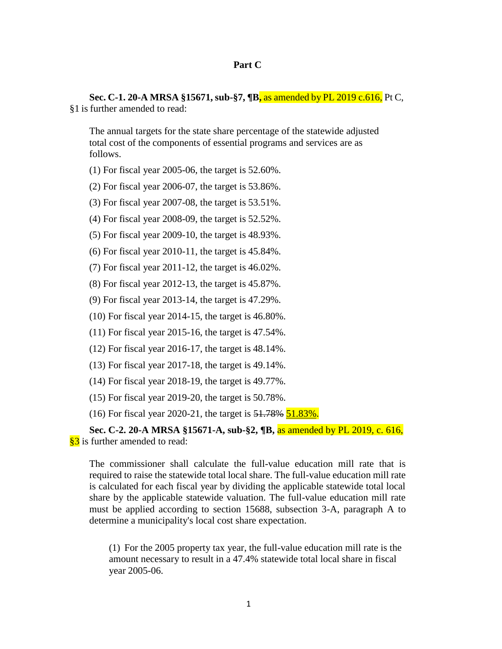**Sec. C-1. 20-A MRSA §15671, sub-§7, ¶B,** as amended by PL 2019 c.616, Pt C, §1 is further amended to read:

The annual targets for the state share percentage of the statewide adjusted total cost of the components of essential programs and services are as follows.

(1) For fiscal year 2005-06, the target is 52.60%.

(2) For fiscal year 2006-07, the target is 53.86%.

(3) For fiscal year 2007-08, the target is 53.51%.

(4) For fiscal year 2008-09, the target is 52.52%.

(5) For fiscal year 2009-10, the target is 48.93%.

(6) For fiscal year 2010-11, the target is 45.84%.

(7) For fiscal year 2011-12, the target is 46.02%.

(8) For fiscal year 2012-13, the target is 45.87%.

(9) For fiscal year 2013-14, the target is 47.29%.

(10) For fiscal year 2014-15, the target is 46.80%.

(11) For fiscal year 2015-16, the target is 47.54%.

(12) For fiscal year 2016-17, the target is 48.14%.

(13) For fiscal year 2017-18, the target is 49.14%.

(14) For fiscal year 2018-19, the target is 49.77%.

(15) For fiscal year 2019-20, the target is 50.78%.

(16) For fiscal year 2020-21, the target is  $51.78\%$  51.83%.

**Sec. C-2. 20-A MRSA §15671-A, sub-§2, ¶B,** as amended by PL 2019, c. 616, §3 is further amended to read:

The commissioner shall calculate the full-value education mill rate that is required to raise the statewide total local share. The full-value education mill rate is calculated for each fiscal year by dividing the applicable statewide total local share by the applicable statewide valuation. The full-value education mill rate must be applied according to section 15688, subsection 3-A, paragraph A to determine a municipality's local cost share expectation.

(1) For the 2005 property tax year, the full-value education mill rate is the amount necessary to result in a 47.4% statewide total local share in fiscal year 2005-06.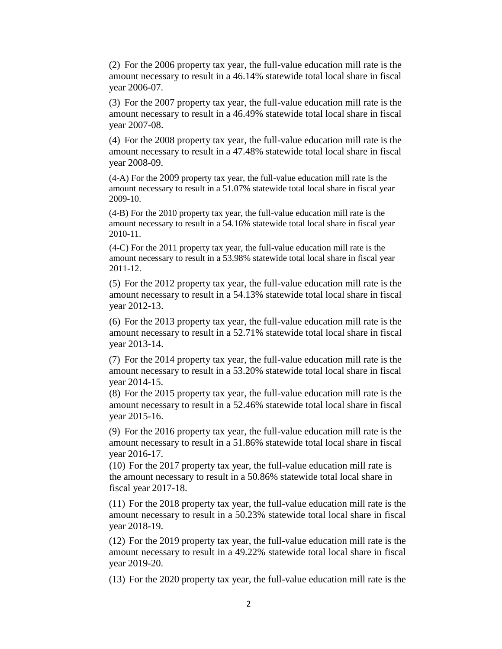(2) For the 2006 property tax year, the full-value education mill rate is the amount necessary to result in a 46.14% statewide total local share in fiscal year 2006-07.

(3) For the 2007 property tax year, the full-value education mill rate is the amount necessary to result in a 46.49% statewide total local share in fiscal year 2007-08.

(4) For the 2008 property tax year, the full-value education mill rate is the amount necessary to result in a 47.48% statewide total local share in fiscal year 2008-09.

(4-A) For the 2009 property tax year, the full-value education mill rate is the amount necessary to result in a 51.07% statewide total local share in fiscal year 2009-10.

(4-B) For the 2010 property tax year, the full-value education mill rate is the amount necessary to result in a 54.16% statewide total local share in fiscal year 2010-11.

(4-C) For the 2011 property tax year, the full-value education mill rate is the amount necessary to result in a 53.98% statewide total local share in fiscal year 2011-12.

(5) For the 2012 property tax year, the full-value education mill rate is the amount necessary to result in a 54.13% statewide total local share in fiscal year 2012-13.

(6) For the 2013 property tax year, the full-value education mill rate is the amount necessary to result in a 52.71% statewide total local share in fiscal year 2013-14.

(7) For the 2014 property tax year, the full-value education mill rate is the amount necessary to result in a 53.20% statewide total local share in fiscal year 2014-15.

(8) For the 2015 property tax year, the full-value education mill rate is the amount necessary to result in a 52.46% statewide total local share in fiscal year 2015-16.

(9) For the 2016 property tax year, the full-value education mill rate is the amount necessary to result in a 51.86% statewide total local share in fiscal year 2016-17.

(10) For the 2017 property tax year, the full-value education mill rate is the amount necessary to result in a 50.86% statewide total local share in fiscal year 2017-18.

(11) For the 2018 property tax year, the full-value education mill rate is the amount necessary to result in a 50.23% statewide total local share in fiscal year 2018-19.

(12) For the 2019 property tax year, the full-value education mill rate is the amount necessary to result in a 49.22% statewide total local share in fiscal year 2019-20.

(13) For the 2020 property tax year, the full-value education mill rate is the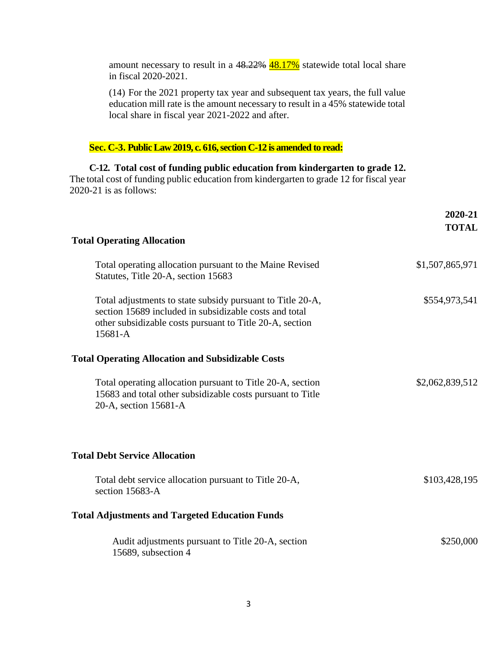| in fiscal 2020-2021.                                                                                                                                                                                              |                         |
|-------------------------------------------------------------------------------------------------------------------------------------------------------------------------------------------------------------------|-------------------------|
| (14) For the 2021 property tax year and subsequent tax years, the full value<br>education mill rate is the amount necessary to result in a 45% statewide total<br>local share in fiscal year 2021-2022 and after. |                         |
|                                                                                                                                                                                                                   |                         |
| Sec. C-3. Public Law 2019, c. 616, section C-12 is amended to read:                                                                                                                                               |                         |
| C-12. Total cost of funding public education from kindergarten to grade 12.<br>The total cost of funding public education from kindergarten to grade 12 for fiscal year<br>$2020-21$ is as follows:               |                         |
|                                                                                                                                                                                                                   | 2020-21<br><b>TOTAL</b> |
| <b>Total Operating Allocation</b>                                                                                                                                                                                 |                         |
| Total operating allocation pursuant to the Maine Revised<br>Statutes, Title 20-A, section 15683                                                                                                                   | \$1,507,865,971         |
| Total adjustments to state subsidy pursuant to Title 20-A,<br>section 15689 included in subsidizable costs and total<br>other subsidizable costs pursuant to Title 20-A, section<br>15681-A                       | \$554,973,541           |
| <b>Total Operating Allocation and Subsidizable Costs</b>                                                                                                                                                          |                         |
| Total operating allocation pursuant to Title 20-A, section<br>15683 and total other subsidizable costs pursuant to Title<br>20-A, section 15681-A                                                                 | \$2,062,839,512         |
| <b>Total Debt Service Allocation</b>                                                                                                                                                                              |                         |
| Total debt service allocation pursuant to Title 20-A,<br>section 15683-A                                                                                                                                          | \$103,428,195           |
| <b>Total Adjustments and Targeted Education Funds</b>                                                                                                                                                             |                         |
| Audit adjustments pursuant to Title 20-A, section<br>15689, subsection 4                                                                                                                                          | \$250,000               |

amount necessary to result in a 48.22%  $\frac{48.17\%}{48.17\%}$  statewide total local share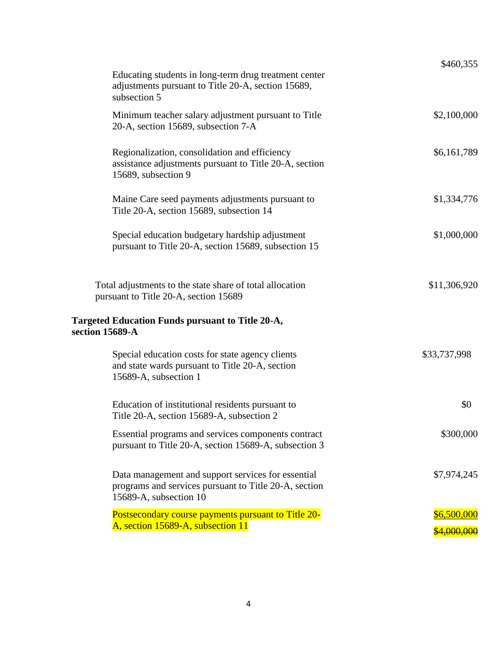|                                                                                                                                       | \$460,355          |
|---------------------------------------------------------------------------------------------------------------------------------------|--------------------|
| Educating students in long-term drug treatment center<br>adjustments pursuant to Title 20-A, section 15689,<br>subsection 5           |                    |
| Minimum teacher salary adjustment pursuant to Title<br>20-A, section 15689, subsection 7-A                                            | \$2,100,000        |
| Regionalization, consolidation and efficiency<br>assistance adjustments pursuant to Title 20-A, section<br>15689, subsection 9        | \$6,161,789        |
| Maine Care seed payments adjustments pursuant to<br>Title 20-A, section 15689, subsection 14                                          | \$1,334,776        |
| Special education budgetary hardship adjustment<br>pursuant to Title 20-A, section 15689, subsection 15                               | \$1,000,000        |
| Total adjustments to the state share of total allocation<br>pursuant to Title 20-A, section 15689                                     | \$11,306,920       |
| Targeted Education Funds pursuant to Title 20-A,<br>section 15689-A                                                                   |                    |
| Special education costs for state agency clients<br>and state wards pursuant to Title 20-A, section<br>15689-A, subsection 1          | \$33,737,998       |
| Education of institutional residents pursuant to<br>Title 20-A, section 15689-A, subsection 2                                         | \$0                |
| Essential programs and services components contract<br>pursuant to Title 20-A, section 15689-A, subsection 3                          | \$300,000          |
| Data management and support services for essential<br>programs and services pursuant to Title 20-A, section<br>15689-A, subsection 10 | \$7,974,245        |
| Postsecondary course payments pursuant to Title 20-<br>A, section 15689-A, subsection 11                                              | \$6,500,000        |
|                                                                                                                                       | <u>\$4,000,000</u> |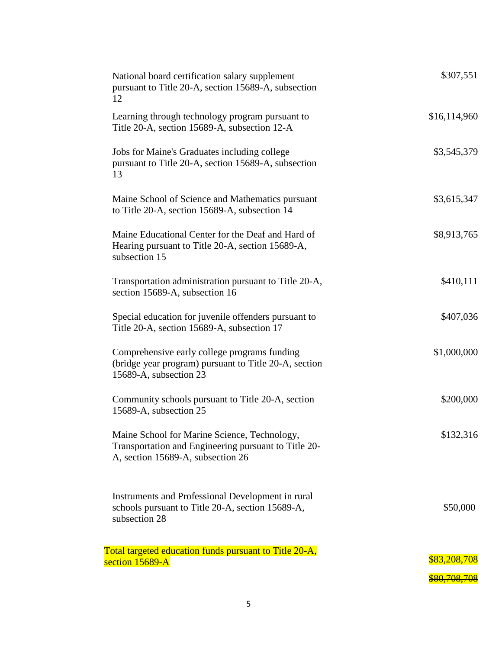| National board certification salary supplement<br>pursuant to Title 20-A, section 15689-A, subsection<br>12                               | \$307,551    |
|-------------------------------------------------------------------------------------------------------------------------------------------|--------------|
| Learning through technology program pursuant to<br>Title 20-A, section 15689-A, subsection 12-A                                           | \$16,114,960 |
| Jobs for Maine's Graduates including college<br>pursuant to Title 20-A, section 15689-A, subsection<br>13                                 | \$3,545,379  |
| Maine School of Science and Mathematics pursuant<br>to Title 20-A, section 15689-A, subsection 14                                         | \$3,615,347  |
| Maine Educational Center for the Deaf and Hard of<br>Hearing pursuant to Title 20-A, section 15689-A,<br>subsection 15                    | \$8,913,765  |
| Transportation administration pursuant to Title 20-A,<br>section 15689-A, subsection 16                                                   | \$410,111    |
| Special education for juvenile offenders pursuant to<br>Title 20-A, section 15689-A, subsection 17                                        | \$407,036    |
| Comprehensive early college programs funding<br>(bridge year program) pursuant to Title 20-A, section<br>15689-A, subsection 23           | \$1,000,000  |
| Community schools pursuant to Title 20-A, section<br>15689-A, subsection 25                                                               | \$200,000    |
| Maine School for Marine Science, Technology,<br>Transportation and Engineering pursuant to Title 20-<br>A, section 15689-A, subsection 26 | \$132,316    |
| Instruments and Professional Development in rural<br>schools pursuant to Title 20-A, section 15689-A,<br>subsection 28                    | \$50,000     |
| Total targeted education funds pursuant to Title 20-A,<br>section 15689-A                                                                 | \$83,208,708 |
|                                                                                                                                           | \$80,708,708 |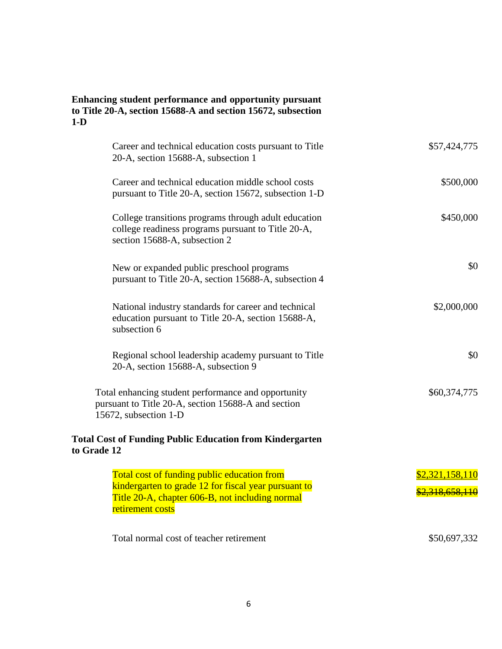## **Enhancing student performance and opportunity pursuant to Title 20-A, section 15688-A and section 15672, subsection 1-D**

| Career and technical education costs pursuant to Title<br>20-A, section 15688-A, subsection 1                                                                              | \$57,424,775                              |
|----------------------------------------------------------------------------------------------------------------------------------------------------------------------------|-------------------------------------------|
| Career and technical education middle school costs<br>pursuant to Title 20-A, section 15672, subsection 1-D                                                                | \$500,000                                 |
| College transitions programs through adult education<br>college readiness programs pursuant to Title 20-A,<br>section 15688-A, subsection 2                                | \$450,000                                 |
| New or expanded public preschool programs<br>pursuant to Title 20-A, section 15688-A, subsection 4                                                                         | \$0                                       |
| National industry standards for career and technical<br>education pursuant to Title 20-A, section 15688-A,<br>subsection 6                                                 | \$2,000,000                               |
| Regional school leadership academy pursuant to Title<br>20-A, section 15688-A, subsection 9                                                                                | \$0                                       |
| Total enhancing student performance and opportunity<br>pursuant to Title 20-A, section 15688-A and section<br>15672, subsection 1-D                                        | \$60,374,775                              |
| <b>Total Cost of Funding Public Education from Kindergarten</b><br>to Grade 12                                                                                             |                                           |
| Total cost of funding public education from<br>kindergarten to grade 12 for fiscal year pursuant to<br>Title 20-A, chapter 606-B, not including normal<br>retirement costs | \$2,321,158,110<br><u>\$2,318,658,110</u> |
| Total normal cost of teacher retirement                                                                                                                                    | \$50,697,332                              |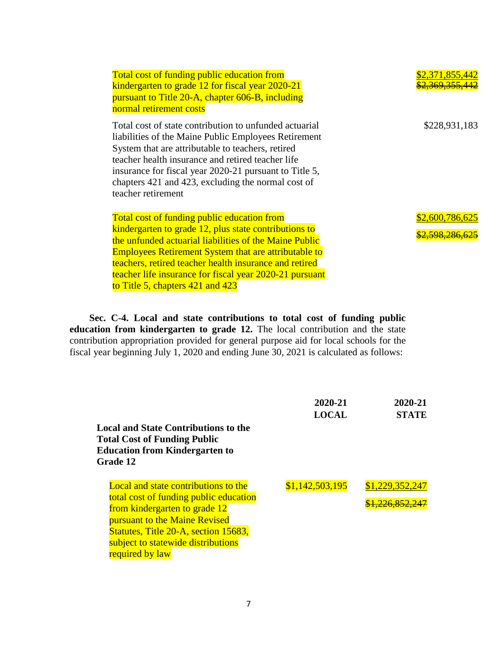| Total cost of funding public education from                 | \$2,371,855,442    |
|-------------------------------------------------------------|--------------------|
| kindergarten to grade 12 for fiscal year 2020-21            | <u>V 369 355 </u>  |
| pursuant to Title 20-A, chapter 606-B, including            |                    |
| normal retirement costs                                     |                    |
| Total cost of state contribution to unfunded actuarial      | \$228,931,183      |
| liabilities of the Maine Public Employees Retirement        |                    |
| System that are attributable to teachers, retired           |                    |
| teacher health insurance and retired teacher life           |                    |
| insurance for fiscal year 2020-21 pursuant to Title 5,      |                    |
| chapters 421 and 423, excluding the normal cost of          |                    |
| teacher retirement                                          |                    |
|                                                             |                    |
| Total cost of funding public education from                 | \$2,600,786,625    |
| kindergarten to grade 12, plus state contributions to       | <u>2.598.286.6</u> |
| the unfunded actuarial liabilities of the Maine Public      |                    |
| <b>Employees Retirement System that are attributable to</b> |                    |
| teachers, retired teacher health insurance and retired      |                    |
| teacher life insurance for fiscal year 2020-21 pursuant     |                    |
| to Title 5, chapters $421$ and $423$                        |                    |

**Sec. C-4. Local and state contributions to total cost of funding public education from kindergarten to grade 12.** The local contribution and the state contribution appropriation provided for general purpose aid for local schools for the fiscal year beginning July 1, 2020 and ending June 30, 2021 is calculated as follows:

| <b>Local and State Contributions to the</b><br><b>Total Cost of Funding Public</b><br><b>Education from Kindergarten to</b>                                                                                                                                                 | 2020-21<br><b>LOCAL</b> | 2020-21<br><b>STATE</b>                |
|-----------------------------------------------------------------------------------------------------------------------------------------------------------------------------------------------------------------------------------------------------------------------------|-------------------------|----------------------------------------|
| Grade 12<br><b>Local and state contributions to the</b><br>total cost of funding public education<br>from kindergarten to grade 12<br><b>pursuant to the Maine Revised</b><br>Statutes, Title 20-A, section 15683,<br>subject to statewide distributions<br>required by law | \$1,142,503,195         | \$1,229,352,247<br><u>.226.852.247</u> |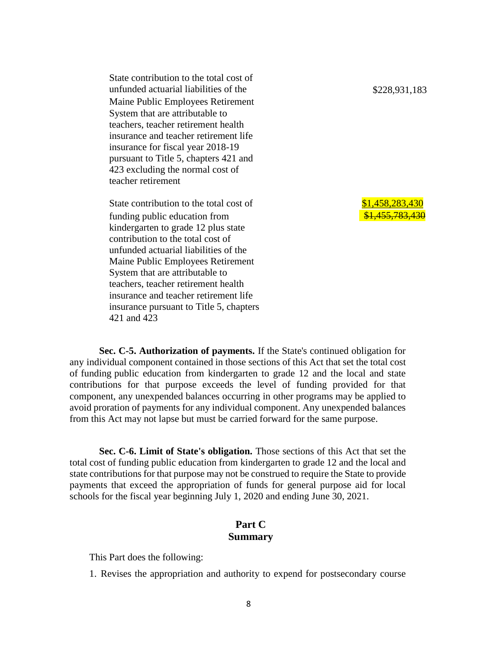State contribution to the total cost of unfunded actuarial liabilities of the  $$228,931,183$ Maine Public Employees Retirement System that are attributable to teachers, teacher retirement health insurance and teacher retirement life insurance for fiscal year 2018-19 pursuant to Title 5, chapters 421 and 423 excluding the normal cost of teacher retirement

State contribution to the total cost of  $$1,458,283,430$ funding public education from kindergarten to grade 12 plus state contribution to the total cost of unfunded actuarial liabilities of the Maine Public Employees Retirement System that are attributable to teachers, teacher retirement health insurance and teacher retirement life insurance pursuant to Title 5, chapters 421 and 423

<u>\$1,455,783,430</u>

**Sec. C-5. Authorization of payments.** If the State's continued obligation for any individual component contained in those sections of this Act that set the total cost of funding public education from kindergarten to grade 12 and the local and state contributions for that purpose exceeds the level of funding provided for that component, any unexpended balances occurring in other programs may be applied to avoid proration of payments for any individual component. Any unexpended balances from this Act may not lapse but must be carried forward for the same purpose.

**Sec. C-6. Limit of State's obligation.** Those sections of this Act that set the total cost of funding public education from kindergarten to grade 12 and the local and state contributions for that purpose may not be construed to require the State to provide payments that exceed the appropriation of funds for general purpose aid for local schools for the fiscal year beginning July 1, 2020 and ending June 30, 2021.

## **Part C Summary**

This Part does the following:

1. Revises the appropriation and authority to expend for postsecondary course